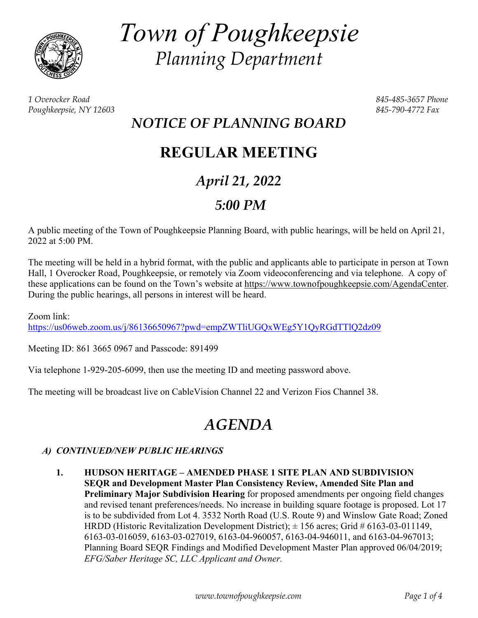

*Town of Poughkeepsie Planning Department* 

*1 Overocker Road 845-485-3657 Phone Poughkeepsie, NY 12603 845-790-4772 Fax* 

## *NOTICE OF PLANNING BOARD*

## **REGULAR MEETING**

## *April 21, 2022*

### *5:00 PM*

A public meeting of the Town of Poughkeepsie Planning Board, with public hearings, will be held on April 21, 2022 at 5:00 PM.

The meeting will be held in a hybrid format, with the public and applicants able to participate in person at Town Hall, 1 Overocker Road, Poughkeepsie, or remotely via Zoom videoconferencing and via telephone. A copy of these applications can be found on the Town's website at https://www.townofpoughkeepsie.com/AgendaCenter. During the public hearings, all persons in interest will be heard.

Zoom link: https://us06web.zoom.us/j/86136650967?pwd=empZWTliUGQxWEg5Y1QyRGdTTlQ2dz09

Meeting ID: 861 3665 0967 and Passcode: 891499

Via telephone 1-929-205-6099, then use the meeting ID and meeting password above.

The meeting will be broadcast live on CableVision Channel 22 and Verizon Fios Channel 38.

# *AGENDA*

#### *A) CONTINUED/NEW PUBLIC HEARINGS*

 **1. HUDSON HERITAGE – AMENDED PHASE 1 SITE PLAN AND SUBDIVISION SEQR and Development Master Plan Consistency Review, Amended Site Plan and Preliminary Major Subdivision Hearing** for proposed amendments per ongoing field changes and revised tenant preferences/needs. No increase in building square footage is proposed. Lot 17 is to be subdivided from Lot 4. 3532 North Road (U.S. Route 9) and Winslow Gate Road; Zoned HRDD (Historic Revitalization Development District);  $\pm$  156 acres; Grid # 6163-03-011149, 6163-03-016059, 6163-03-027019, 6163-04-960057, 6163-04-946011, and 6163-04-967013; Planning Board SEQR Findings and Modified Development Master Plan approved 06/04/2019; *EFG/Saber Heritage SC, LLC Applicant and Owner.*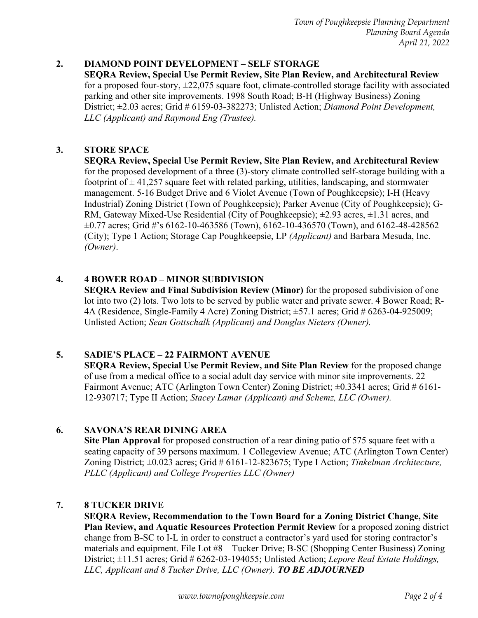#### **2. DIAMOND POINT DEVELOPMENT – SELF STORAGE**

**SEQRA Review, Special Use Permit Review, Site Plan Review, and Architectural Review**  for a proposed four-story,  $\pm 22,075$  square foot, climate-controlled storage facility with associated parking and other site improvements. 1998 South Road; B-H (Highway Business) Zoning District; ±2.03 acres; Grid # 6159-03-382273; Unlisted Action; *Diamond Point Development, LLC (Applicant) and Raymond Eng (Trustee).*

#### **3. STORE SPACE**

**SEQRA Review, Special Use Permit Review, Site Plan Review, and Architectural Review**  for the proposed development of a three (3)-story climate controlled self-storage building with a footprint of  $\pm$  41,257 square feet with related parking, utilities, landscaping, and stormwater management. 5-16 Budget Drive and 6 Violet Avenue (Town of Poughkeepsie); I-H (Heavy Industrial) Zoning District (Town of Poughkeepsie); Parker Avenue (City of Poughkeepsie); G-RM, Gateway Mixed-Use Residential (City of Poughkeepsie);  $\pm 2.93$  acres,  $\pm 1.31$  acres, and ±0.77 acres; Grid #'s 6162-10-463586 (Town), 6162-10-436570 (Town), and 6162-48-428562 (City); Type 1 Action; Storage Cap Poughkeepsie, LP *(Applicant)* and Barbara Mesuda, Inc. *(Owner)*.

#### **4. 4 BOWER ROAD – MINOR SUBDIVISION**

**SEQRA Review and Final Subdivision Review (Minor)** for the proposed subdivision of one lot into two (2) lots. Two lots to be served by public water and private sewer. 4 Bower Road; R-4A (Residence, Single-Family 4 Acre) Zoning District; ±57.1 acres; Grid # 6263-04-925009; Unlisted Action; *Sean Gottschalk (Applicant) and Douglas Nieters (Owner).* 

#### **5. SADIE'S PLACE – 22 FAIRMONT AVENUE**

**SEQRA Review, Special Use Permit Review, and Site Plan Review** for the proposed change of use from a medical office to a social adult day service with minor site improvements. 22 Fairmont Avenue; ATC (Arlington Town Center) Zoning District;  $\pm 0.3341$  acres; Grid # 6161-12-930717; Type II Action; *Stacey Lamar (Applicant) and Schemz, LLC (Owner).*

#### **6. SAVONA'S REAR DINING AREA**

**Site Plan Approval** for proposed construction of a rear dining patio of 575 square feet with a seating capacity of 39 persons maximum. 1 Collegeview Avenue; ATC (Arlington Town Center) Zoning District; ±0.023 acres; Grid # 6161-12-823675; Type I Action; *Tinkelman Architecture, PLLC (Applicant) and College Properties LLC (Owner)*

#### **7. 8 TUCKER DRIVE**

**SEQRA Review, Recommendation to the Town Board for a Zoning District Change, Site Plan Review, and Aquatic Resources Protection Permit Review** for a proposed zoning district change from B-SC to I-L in order to construct a contractor's yard used for storing contractor's materials and equipment. File Lot #8 – Tucker Drive; B-SC (Shopping Center Business) Zoning District; ±11.51 acres; Grid # 6262-03-194055; Unlisted Action; *Lepore Real Estate Holdings, LLC, Applicant and 8 Tucker Drive, LLC (Owner). TO BE ADJOURNED*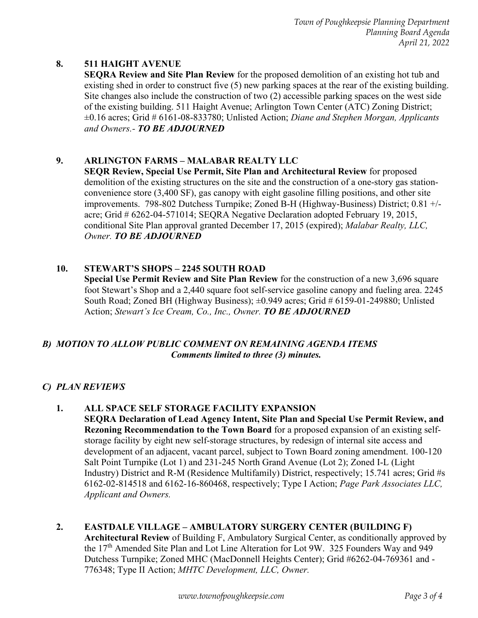*Town of Poughkeepsie Planning Department Planning Board Agenda April 21, 2022* 

#### **8. 511 HAIGHT AVENUE**

**SEQRA Review and Site Plan Review** for the proposed demolition of an existing hot tub and existing shed in order to construct five (5) new parking spaces at the rear of the existing building. Site changes also include the construction of two (2) accessible parking spaces on the west side of the existing building. 511 Haight Avenue; Arlington Town Center (ATC) Zoning District; ±0.16 acres; Grid # 6161-08-833780; Unlisted Action; *Diane and Stephen Morgan, Applicants and Owners.- TO BE ADJOURNED*

#### **9. ARLINGTON FARMS – MALABAR REALTY LLC**

**SEQR Review, Special Use Permit, Site Plan and Architectural Review** for proposed demolition of the existing structures on the site and the construction of a one-story gas stationconvenience store (3,400 SF), gas canopy with eight gasoline filling positions, and other site improvements. 798-802 Dutchess Turnpike; Zoned B-H (Highway-Business) District; 0.81 +/ acre; Grid # 6262-04-571014; SEQRA Negative Declaration adopted February 19, 2015, conditional Site Plan approval granted December 17, 2015 (expired); *Malabar Realty, LLC, Owner. TO BE ADJOURNED* 

#### **10. STEWART'S SHOPS – 2245 SOUTH ROAD**

**Special Use Permit Review and Site Plan Review** for the construction of a new 3,696 square foot Stewart's Shop and a 2,440 square foot self-service gasoline canopy and fueling area. 2245 South Road; Zoned BH (Highway Business);  $\pm 0.949$  acres; Grid # 6159-01-249880; Unlisted Action; *Stewart's Ice Cream, Co., Inc., Owner. TO BE ADJOURNED* 

#### *B) MOTION TO ALLOW PUBLIC COMMENT ON REMAINING AGENDA ITEMS Comments limited to three (3) minutes.*

#### *C) PLAN REVIEWS*

#### **1. ALL SPACE SELF STORAGE FACILITY EXPANSION**

**SEQRA Declaration of Lead Agency Intent, Site Plan and Special Use Permit Review, and Rezoning Recommendation to the Town Board** for a proposed expansion of an existing selfstorage facility by eight new self-storage structures, by redesign of internal site access and development of an adjacent, vacant parcel, subject to Town Board zoning amendment. 100-120 Salt Point Turnpike (Lot 1) and 231-245 North Grand Avenue (Lot 2); Zoned I-L (Light Industry) District and R-M (Residence Multifamily) District, respectively; 15.741 acres; Grid #s 6162-02-814518 and 6162-16-860468, respectively; Type I Action; *Page Park Associates LLC, Applicant and Owners.* 

#### **2. EASTDALE VILLAGE – AMBULATORY SURGERY CENTER (BUILDING F) Architectural Review** of Building F, Ambulatory Surgical Center, as conditionally approved by the 17<sup>th</sup> Amended Site Plan and Lot Line Alteration for Lot 9W. 325 Founders Way and 949 Dutchess Turnpike; Zoned MHC (MacDonnell Heights Center); Grid #6262-04-769361 and - 776348; Type II Action; *MHTC Development, LLC, Owner.*